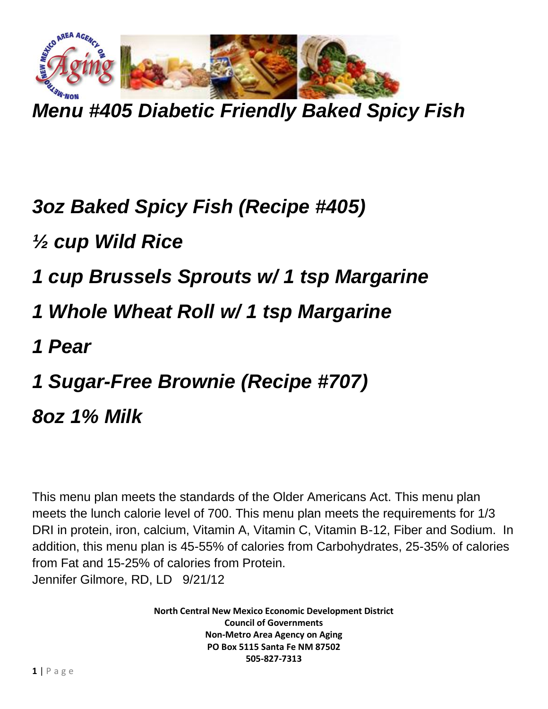

*Menu #405 Diabetic Friendly Baked Spicy Fish*

## *3oz Baked Spicy Fish (Recipe #405)*

- *½ cup Wild Rice*
- *1 cup Brussels Sprouts w/ 1 tsp Margarine*
- *1 Whole Wheat Roll w/ 1 tsp Margarine*
- *1 Pear*
- *1 Sugar-Free Brownie (Recipe #707)*
- *8oz 1% Milk*

This menu plan meets the standards of the Older Americans Act. This menu plan meets the lunch calorie level of 700. This menu plan meets the requirements for 1/3 DRI in protein, iron, calcium, Vitamin A, Vitamin C, Vitamin B-12, Fiber and Sodium. In addition, this menu plan is 45-55% of calories from Carbohydrates, 25-35% of calories from Fat and 15-25% of calories from Protein. Jennifer Gilmore, RD, LD 9/21/12

> **North Central New Mexico Economic Development District Council of Governments Non-Metro Area Agency on Aging PO Box 5115 Santa Fe NM 87502 505-827-7313**